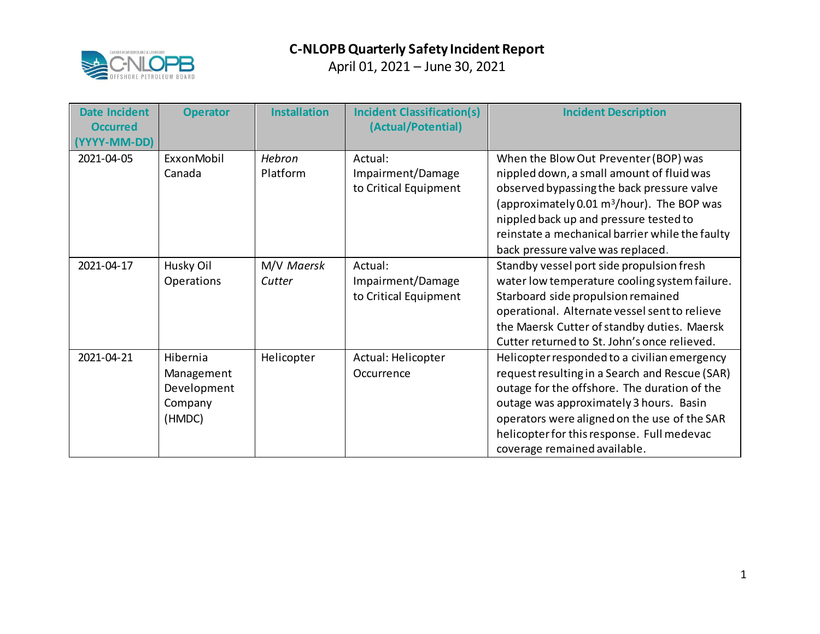

| <b>Date Incident</b><br><b>Occurred</b><br>(YYYY-MM-DD) | <b>Operator</b>                                            | <b>Installation</b>  | <b>Incident Classification(s)</b><br>(Actual/Potential) | <b>Incident Description</b>                                                                                                                                                                                                                                                                                                  |
|---------------------------------------------------------|------------------------------------------------------------|----------------------|---------------------------------------------------------|------------------------------------------------------------------------------------------------------------------------------------------------------------------------------------------------------------------------------------------------------------------------------------------------------------------------------|
| 2021-04-05                                              | ExxonMobil<br>Canada                                       | Hebron<br>Platform   | Actual:<br>Impairment/Damage<br>to Critical Equipment   | When the Blow Out Preventer (BOP) was<br>nippled down, a small amount of fluid was<br>observed bypassing the back pressure valve<br>(approximately 0.01 m <sup>3</sup> /hour). The BOP was<br>nippled back up and pressure tested to<br>reinstate a mechanical barrier while the faulty<br>back pressure valve was replaced. |
| 2021-04-17                                              | Husky Oil<br>Operations                                    | M/V Maersk<br>Cutter | Actual:<br>Impairment/Damage<br>to Critical Equipment   | Standby vessel port side propulsion fresh<br>water low temperature cooling system failure.<br>Starboard side propulsion remained<br>operational. Alternate vessel sent to relieve<br>the Maersk Cutter of standby duties. Maersk<br>Cutter returned to St. John's once relieved.                                             |
| 2021-04-21                                              | Hibernia<br>Management<br>Development<br>Company<br>(HMDC) | Helicopter           | Actual: Helicopter<br>Occurrence                        | Helicopter responded to a civilian emergency<br>request resulting in a Search and Rescue (SAR)<br>outage for the offshore. The duration of the<br>outage was approximately 3 hours. Basin<br>operators were aligned on the use of the SAR<br>helicopter for this response. Full medevac<br>coverage remained available.      |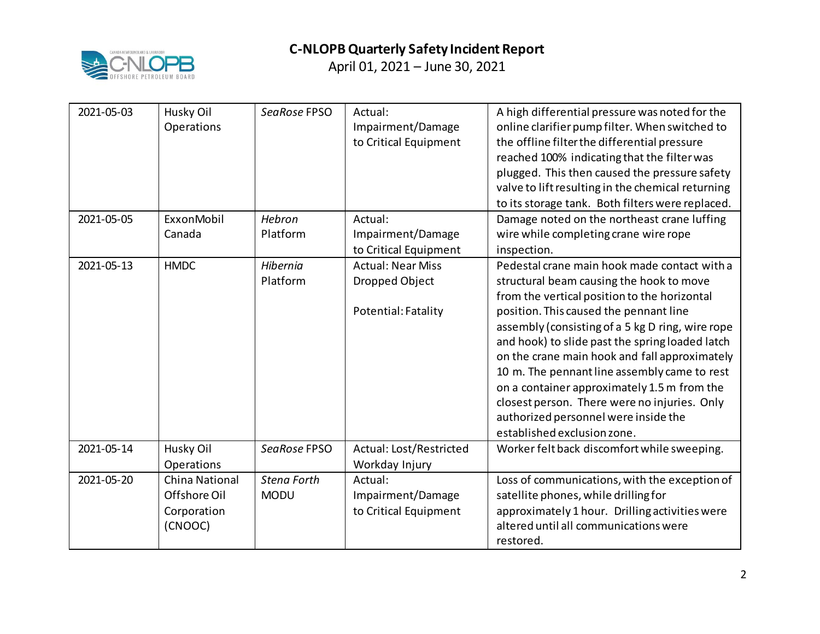

| 2021-05-03 | Husky Oil<br>Operations                                         | SeaRose FPSO                      | Actual:<br>Impairment/Damage<br>to Critical Equipment             | A high differential pressure was noted for the<br>online clarifier pump filter. When switched to<br>the offline filter the differential pressure<br>reached 100% indicating that the filter was<br>plugged. This then caused the pressure safety<br>valve to lift resulting in the chemical returning<br>to its storage tank. Both filters were replaced.                                                                                                                                                                                                        |
|------------|-----------------------------------------------------------------|-----------------------------------|-------------------------------------------------------------------|------------------------------------------------------------------------------------------------------------------------------------------------------------------------------------------------------------------------------------------------------------------------------------------------------------------------------------------------------------------------------------------------------------------------------------------------------------------------------------------------------------------------------------------------------------------|
| 2021-05-05 | ExxonMobil<br>Canada                                            | Hebron<br>Platform                | Actual:<br>Impairment/Damage<br>to Critical Equipment             | Damage noted on the northeast crane luffing<br>wire while completing crane wire rope<br>inspection.                                                                                                                                                                                                                                                                                                                                                                                                                                                              |
| 2021-05-13 | <b>HMDC</b>                                                     | Hibernia<br>Platform              | <b>Actual: Near Miss</b><br>Dropped Object<br>Potential: Fatality | Pedestal crane main hook made contact with a<br>structural beam causing the hook to move<br>from the vertical position to the horizontal<br>position. This caused the pennant line<br>assembly (consisting of a 5 kg D ring, wire rope<br>and hook) to slide past the spring loaded latch<br>on the crane main hook and fall approximately<br>10 m. The pennant line assembly came to rest<br>on a container approximately 1.5 m from the<br>closest person. There were no injuries. Only<br>authorized personnel were inside the<br>established exclusion zone. |
| 2021-05-14 | Husky Oil<br>Operations                                         | SeaRose FPSO                      | Actual: Lost/Restricted<br>Workday Injury                         | Worker felt back discomfort while sweeping.                                                                                                                                                                                                                                                                                                                                                                                                                                                                                                                      |
| 2021-05-20 | <b>China National</b><br>Offshore Oil<br>Corporation<br>(CNOOC) | <b>Stena Forth</b><br><b>MODU</b> | Actual:<br>Impairment/Damage<br>to Critical Equipment             | Loss of communications, with the exception of<br>satellite phones, while drilling for<br>approximately 1 hour. Drilling activities were<br>altered until all communications were<br>restored.                                                                                                                                                                                                                                                                                                                                                                    |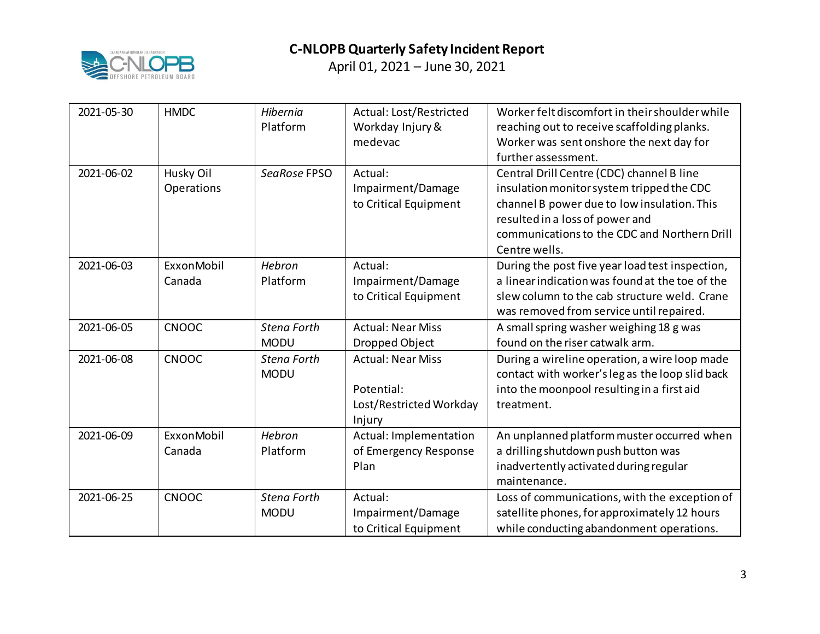

| 2021-05-30 | <b>HMDC</b>             | Hibernia<br>Platform              | Actual: Lost/Restricted<br>Workday Injury &<br>medevac                      | Worker felt discomfort in their shoulder while<br>reaching out to receive scaffolding planks.<br>Worker was sent onshore the next day for<br>further assessment.                                                                          |
|------------|-------------------------|-----------------------------------|-----------------------------------------------------------------------------|-------------------------------------------------------------------------------------------------------------------------------------------------------------------------------------------------------------------------------------------|
| 2021-06-02 | Husky Oil<br>Operations | SeaRose FPSO                      | Actual:<br>Impairment/Damage<br>to Critical Equipment                       | Central Drill Centre (CDC) channel B line<br>insulation monitor system tripped the CDC<br>channel B power due to low insulation. This<br>resulted in a loss of power and<br>communications to the CDC and Northern Drill<br>Centre wells. |
| 2021-06-03 | ExxonMobil<br>Canada    | Hebron<br>Platform                | Actual:<br>Impairment/Damage<br>to Critical Equipment                       | During the post five year load test inspection,<br>a linear indication was found at the toe of the<br>slew column to the cab structure weld. Crane<br>was removed from service until repaired.                                            |
| 2021-06-05 | CNOOC                   | <b>Stena Forth</b><br><b>MODU</b> | <b>Actual: Near Miss</b><br>Dropped Object                                  | A small spring washer weighing 18 g was<br>found on the riser catwalk arm.                                                                                                                                                                |
| 2021-06-08 | CNOOC                   | <b>Stena Forth</b><br><b>MODU</b> | <b>Actual: Near Miss</b><br>Potential:<br>Lost/Restricted Workday<br>Injury | During a wireline operation, a wire loop made<br>contact with worker's legas the loop slid back<br>into the moonpool resulting in a first aid<br>treatment.                                                                               |
| 2021-06-09 | ExxonMobil<br>Canada    | Hebron<br>Platform                | Actual: Implementation<br>of Emergency Response<br>Plan                     | An unplanned platform muster occurred when<br>a drilling shutdown push button was<br>inadvertently activated during regular<br>maintenance.                                                                                               |
| 2021-06-25 | <b>CNOOC</b>            | <b>Stena Forth</b><br><b>MODU</b> | Actual:<br>Impairment/Damage<br>to Critical Equipment                       | Loss of communications, with the exception of<br>satellite phones, for approximately 12 hours<br>while conducting abandonment operations.                                                                                                 |